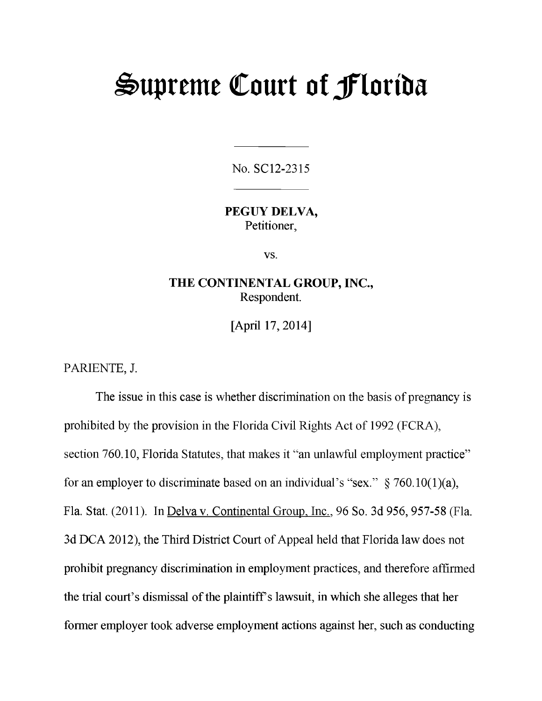# **Supreme Court of Jflortba**

No. SC12-2315

**PEGUY DELVA,** Petitioner,

vs.

## **THE CONTINENTAL GROUP, INC.,** Respondent.

[April 17, 2014]

PARIENTE, J.

The issue in this case is whether discrimination on the basis of pregnancy is prohibited by the provision in the Florida Civil Rights Act of 1992 (FCRA), section 760.10, Florida Statutes, that makes it "an unlawful employment practice" for an employer to discriminate based on an individual's "sex."  $\S 760.10(1)(a)$ , Fla. Stat. (2011). In Delva v. Continental Group. Inc.. 96 So. 3d 956, 957-58 (Fla. 3d DCA 2012), the Third District Court of Appeal held that Florida law does not prohibit pregnancy discrimination in employment practices, and therefore affirmed the trial court's dismissal of the plaintiff's lawsuit, in which she alleges that her former employer took adverse employment actions against her, such as conducting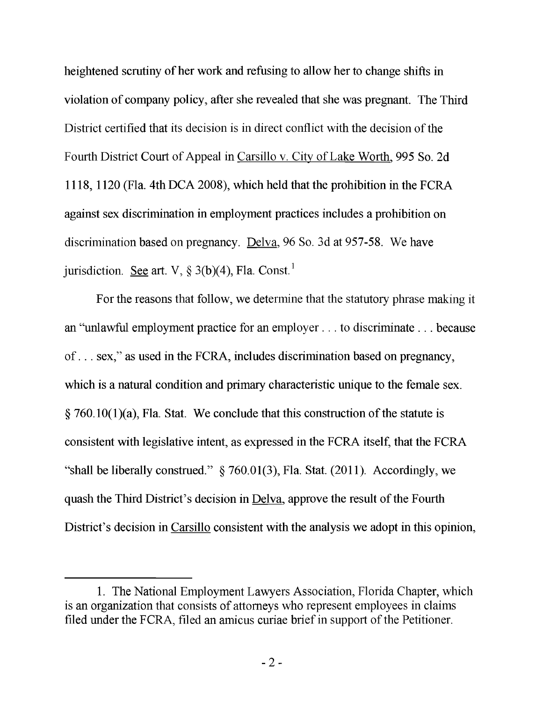heightened scrutiny of her work and refusing to allow her to change shifts in violation of company policy, after she revealed that she was pregnant. The Third District certified that its decision is in direct conflict with the decision of the Fourth District Court of Appeal in Carsillo v. City of Lake Worth. 995 So. 2d 1118,1120 (Fla. 4th DCA 2008), which held that the prohibition in the FCRA against sex discrimination in employment practices includes a prohibition on discrimination based on pregnancy. Delva. 96 So. 3d at 957-58. We have jurisdiction. See art. V,  $\S$  3(b)(4), Fla. Const.<sup>1</sup>

For the reasons that follow, we determine that the statutory phrase making it an "unlawful employment practice for an employer ... to discriminate ... because of... sex," as used in the FCRA, includes discrimination based on pregnancy, which is a natural condition and primary characteristic unique to the female sex.  $\S$  760.10(1)(a), Fla. Stat. We conclude that this construction of the statute is consistent with legislative intent, as expressed in the FCRA itself, that the FCRA "shall be liberally construed."  $\frac{1}{2}$  760.01(3), Fla. Stat. (2011). Accordingly, we quash the Third District's decision in Delva. approve the result of the Fourth District's decision in Carsillo consistent with the analysis we adopt in this opinion,

<sup>1.</sup> The National Employment Lawyers Association, Florida Chapter, which is an organization that consists of attorneys who represent employees in claims filed under the FCRA, filed an amicus curiae brief in support of the Petitioner.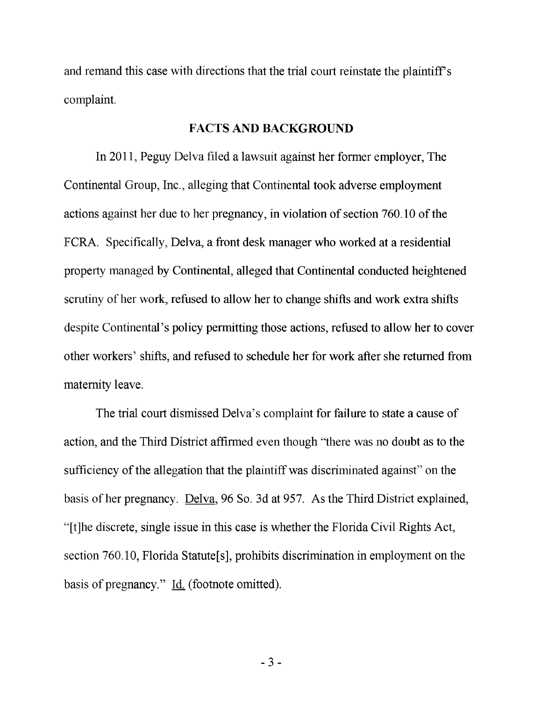and remand this case with directions that the trial court reinstate the plaintiff's complaint.

#### **FACTS AND BACKGROUND**

In 2011, Peguy Delva filed a lawsuit against her former employer. The Continental Group, Inc., alleging that Continental took adverse employment actions against her due to her pregnancy, in violation of section 760.10 of the FCRA. Specifically, Delva, a front desk manager who worked at a residential property managed by Continental, alleged that Continental conducted heightened scrutiny of her work, refused to allow her to change shifts and work extra shifts despite Continental's policy permitting those actions, refused to allow her to cover other workers' shifts, and refused to schedule her for work after she returned from maternity leave.

The trial court dismissed Delva's complaint for failure to state a cause of action, and the Third District affirmed even though "there was no doubt as to the sufficiency of the allegation that the plaintiff was discriminated against" on the basis of her pregnancy. Delva. 96 So. 3d at 957. As the Third District explained, "[t]he discrete, single issue in this case is whether the Florida Civil Rights Act, section 760.10, Florida Statute[s], prohibits discrimination in employment on the basis of pregnancy." Id. (footnote omitted).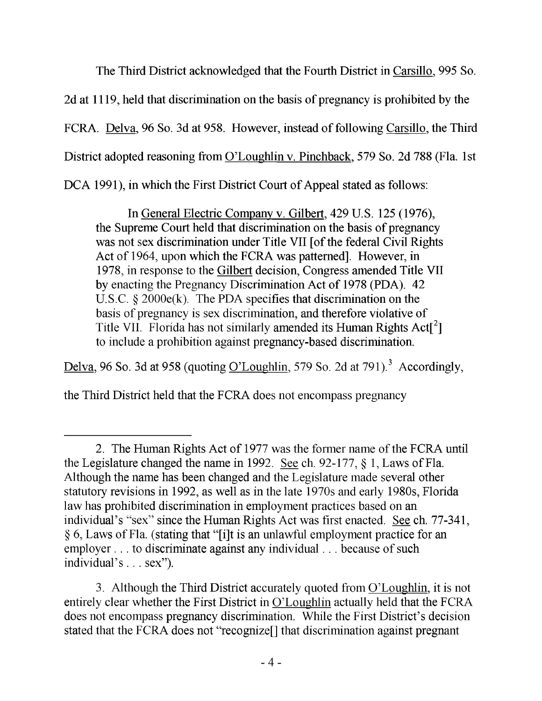The Third District acknowledged that the Fourth District in Carsillo. 995 So. 2d at 1119, held that discrimination on the basis of pregnancy is prohibited by the FCRA. Delva. 96 So. 3d at 958. However, instead of following Carsillo. the Third District adopted reasoning from O'Loughlin v. Pinchback. 579 So. 2d 788 (Fla. 1st DCA 1991), in which the First District Court of Appeal stated as follows:

In General Electric Company v. Gilbert. 429 U.S. 125 (1976), the Supreme Court held that discrimination on the basis of pregnancy was not sex discrimination under Title VII [of the federal Civil Rights Act of 1964, upon which the FCRA was patterned]. However, in 1978, in response to the Gilbert decision. Congress amended Title VII by enacting the Pregnancy Discrimination Act of 1978 (PDA). 42 U.S.C. § 2000e(k). The PDA specifies that discrimination on the basis of pregnancy is sex discrimination, and therefore violative of Title VII. Florida has not similarly amended its Human Rights  $Act[^{2}]$ to include a prohibition against pregnancy-based discrimination.

Delva, 96 So. 3d at 958 (quoting O'Loughlin, 579 So. 2d at 791).<sup>3</sup> Accordingly,

the Third District held that the FCRA does not encompass pregnancy

<sup>2.</sup> The Human Rights Act of 1977 was the former name of the FCRA until the Legislature changed the name in 1992. See ch. 92-177, § 1, Laws of Fla. Although the name has been changed and the Legislature made several other statutory revisions in 1992, as well as in the late 1970s and early 1980s, Florida law has prohibited discrimination in employment practices based on an individual's "sex" since the Human Rights Act was first enacted. See ch. 77-341, § 6, Laws of Fla. (stating that "[i]t is an unlawful employment practice for an employer ... to discriminate against any individual. . . because of such individual's . . . sex").

<sup>3.</sup> Although the Third District accurately quoted from O'Loughlin. it is not entirely clear whether the First District in O'Loughlin actually held that the FCRA does not encompass pregnancy discrimination. While the First District's decision stated that the FCRA does not "recognize[] that discrimination against pregnant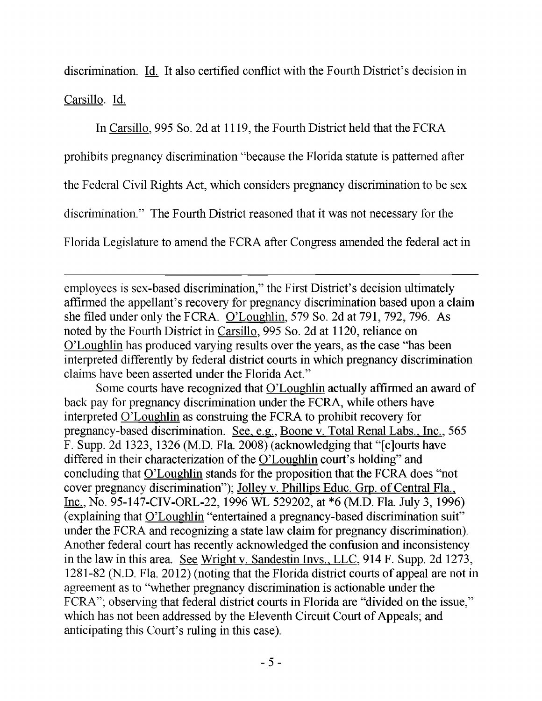discrimination. Id. It also certified conflict with the Fourth District's decision in Carsillo. Id.

In Carsillo. 995 So. 2d at 1119, the Fourth District held that the FCRA prohibits pregnancy discrimination "because the Florida statute is patterned after the Federal Civil Rights Act, which considers pregnancy discrimination to be sex discrimination." The Fourth District reasoned that it was not necessary for the Florida Legislature to amend the FCRA after Congress amended the federal act in

employees is sex-based discrimination," the First District's decision ultimately affirmed the appellant's recovery for pregnancy discrimination based upon a claim she filed under only the FCRA. O'Loughlin. 579 So. 2d at 791, 792, 796. As noted by the Fourth District in Carsillo. 995 So. 2d at 1120, reliance on O'Loughlin has produced varying results over the years, as the case "has been interpreted differently by federal district courts in which pregnancy discrimination claims have been asserted under the Florida Act."

Some courts have recognized that O'Loughlin actually affirmed an award of back pay for pregnancy discrimination under the FCRA, while others have interpreted O'Loughlin as construing the FCRA to prohibit recovery for pregnancy-based discrimination. See, e.g.. Boone v. Total Renal Labs.. Inc.. 565 F. Supp. 2d 1323, 1326 (M.D. Fla. 2008) (acknowledging that "[c]ourts have differed in their characterization of the O'Loughlin court's holding" and concluding that O'Loughlin stands for the proposition that the FCRA does "not cover pregnancy discrimination"); Jolley v. Phillips Educ. Grp. of Central Fla., Inc.. No. 95-147-CIV-ORL-22, 1996 WL 529202, at \*6 (M.D. Fla. July 3, 1996) (explaining that O'Loughlin "entertained a pregnancy-based discrimination suit" under the FCRA and recognizing a state law claim for pregnancy discrimination). Another federal court has recently acknowledged the confusion and inconsistency in the law in this area. See Wright v. Sandestin Invs.. LLC. 914 F. Supp. 2d 1273, 1281-82 (N.D. Fla. 2012) (noting that the Florida district courts of appeal are not in agreement as to "whether pregnancy discrimination is actionable under the FCRA"; observing that federal district courts in Florida are "divided on the issue," which has not been addressed by the Eleventh Circuit Court of Appeals; and anticipating this Court's ruling in this case).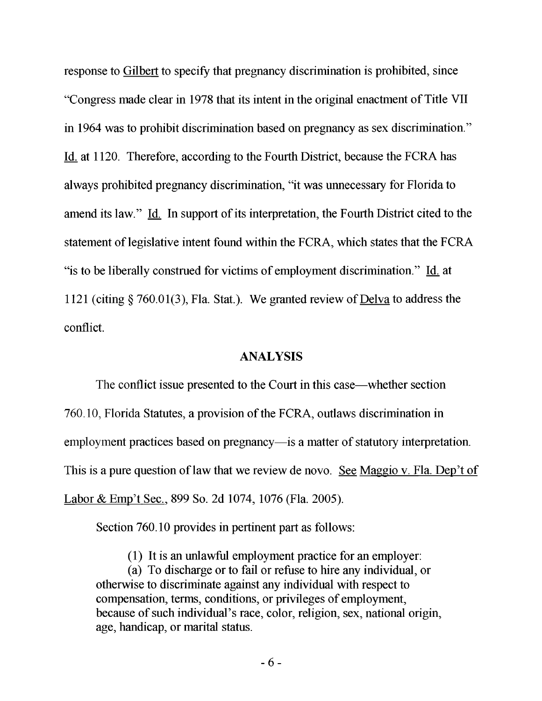response to Gilbert to specify that pregnancy discrimination is prohibited, since "Congress made clear in 1978 that its intent in the original enactment of Title VII in 1964 was to prohibit discrimination based on pregnancy as sex discrimination." Id. at 1120. Therefore, according to the Fourth District, because the FCRA has always prohibited pregnancy discrimination, "it was unnecessary for Florida to amend its law." Id. In support of its interpretation, the Fourth District cited to the statement of legislative intent found within the FCRA, which states that the FCRA "is to be liberally construed for victims of employment discrimination." Id. at 1121 (citing § 760.01(3), Fla. Stat.). We granted review of Delva to address the conflict.

#### **ANALYSIS**

The conflict issue presented to the Court in this case—whether section 760.10, Florida Statutes, a provision of the FCRA, outlaws discrimination in employment practices based on pregnancy—is a matter of statutory interpretation. This is a pure question of law that we review de novo. See Maggio v. Fla. Dep't of Labor & Emp't Sec.. 899 So. 2d 1074, 1076 (Fla. 2005).

Section 760.10 provides in pertinent part as follows:

(1) It is an unlawful employment practice for an employer:

(a) To discharge or to fail or refuse to hire any individual, or otherwise to discriminate against any individual with respect to compensation, terms, conditions, or privileges of employment, because of such individual's race, color, religion, sex, national origin, age, handicap, or marital status.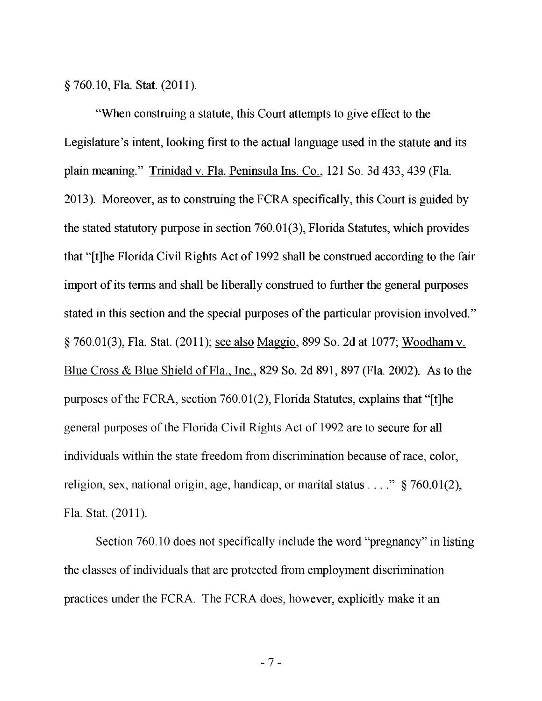**§760.10, Fla. Stat. (2011).**

"When construing a statute, this Court attempts to give effect to the Legislature's intent, looking first to the actual language used in the statute and its plain meaning." Trinidad v. Fla. Peninsula Ins. Co., 121 So. 3d 433, 439 (Fla. 2013). Moreover, as to construing the FCRA specifically, this Court is guided by the stated statutory purpose in section 760.01(3), Florida Statutes, which provides that "[t]he Florida Civil Rights Act of 1992 shall be construed according to the fair import of its terms and shall be liberally construed to further the general purposes stated in this section and the special purposes of the particular provision involved." § 760.01(3), Fla. Stat. (2011); <u>see also Maggio</u>, 899 So. 2d at 1077; Woodham v. Blue Cross & Blue Shield of Fla., Inc., 829 So. 2d 891, 897 (Fla. 2002). As to the purposes of the FCRA, section 760.01(2), Florida Statutes, explains that "[t]he general purposes of the Florida Civil Rights Act of 1992 are to secure for all individuals within the state freedom from discrimination because of race, color, religion, sex, national origin, age, handicap, or marital status . . . ." § 760.01(2), Fla. Stat. (2011).

Section 760.10 does not specifically include the word "pregnancy" in listing the classes of individuals that are protected from employment discrimination practices under the FCRA. The FCRA does, however, explicitly make it an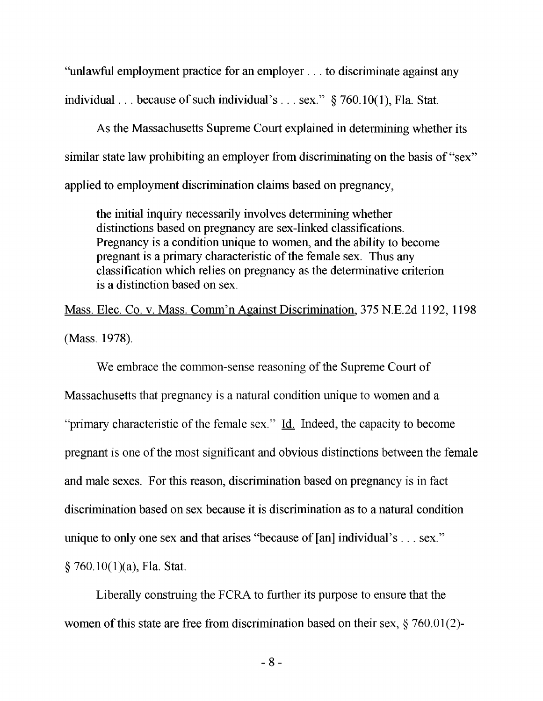"unlawful employment practice for an employer... to discriminate against any individual... because of such individual's ... sex." § 760.10(1), Fla. Stat.

As the Massachusetts Supreme Court explained in determining whether its similar state law prohibiting an employer from discriminating on the basis of "sex" applied to employment discrimination claims based on pregnancy,

the initial inquiry necessarily involves determining whether distinctions based on pregnancy are sex-linked classifications. Pregnancy is a condition unique to women, and the ability to become pregnant is a primary characteristic of the female sex. Thus any classification which relies on pregnancy as the determinative criterion is a distinction based on sex.

Mass. Elec. Co. v. Mass. Comm'n Against Discrimination, 375 N.E.2d 1192, 1198 (Mass. 1978).

We embrace the common-sense reasoning of the Supreme Court of Massachusetts that pregnancy is a natural condition unique to women and a "primary characteristic of the female sex." Id. Indeed, the capacity to become pregnant is one of the most significant and obvious distinctions between the female and male sexes. For this reason, discrimination based on pregnancy is in fact discrimination based on sex because it is discrimination as to a natural condition unique to only one sex and that arises "because of [an] individual's . . . sex."  $§ 760.10(1)(a)$ , Fla. Stat.

Liberally construing the FCRA to further its purpose to ensure that the women of this state are free from discrimination based on their sex, § 760.01(2)-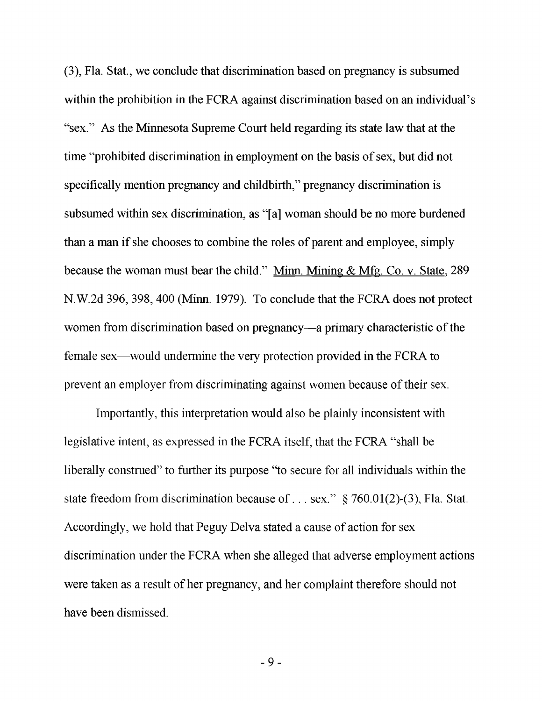(3), Fla. Stat., we conclude that discrimination based on pregnancy is subsumed within the prohibition in the FCRA against discrimination based on an individual's "sex." As the Minnesota Supreme Court held regarding its state law that at the time "prohibited discrimination in employment on the basis of sex, but did not specifically mention pregnancy and childbirth," pregnancy discrimination is subsumed within sex discrimination, as "[a] woman should be no more burdened than a man if she chooses to combine the roles of parent and employee, simply because the woman must bear the child." Minn. Mining & Mfg. Co. v. State, 289 N. W.2d 396, 398,400 (Minn. 1979). To conclude that the FCRA does not protect women from discrimination based on pregnancy—a primary characteristic of the female sex—would undermine the very protection provided in the FCRA to prevent an employer from discriminating against women because of their sex.

Importantly, this interpretation would also be plainly inconsistent with legislative intent, as expressed in the FCRA itself, that the FCRA "shall be liberally construed" to further its purpose "to secure for all individuals within the state freedom from discrimination because of ... sex."  $\S$  760.01(2)-(3), Fla. Stat. Accordingly, we hold that Peguy Delva stated a cause of action for sex discrimination under the FCRA when she alleged that adverse employment actions were taken as a result of her pregnancy, and her complaint therefore should not have been dismissed.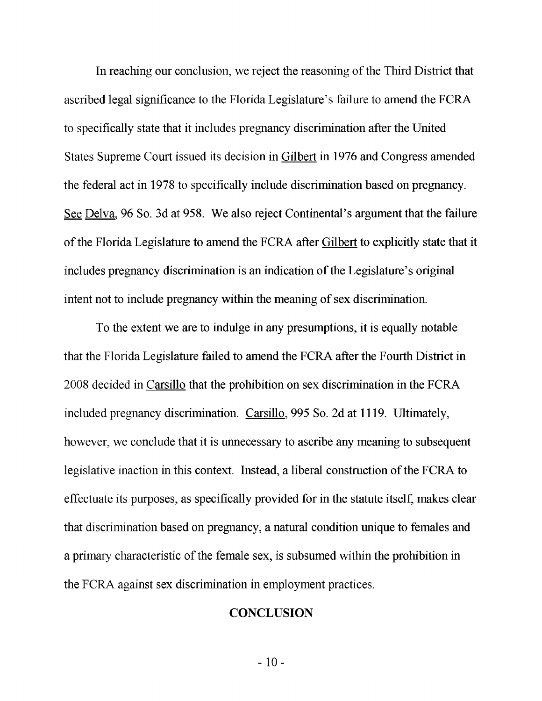In reaching our conclusion, we reject the reasoning of the Third District that ascribed legal significance to the Florida Legislature's failure to amend the FCRA to specifically state that it includes pregnancy discrimination after the United States Supreme Court issued its decision in Gilbert in 1976 and Congress amended the federal act in 1978 to specifically include discrimination based on pregnancy. See Delva. 96 So. 3d at 958. We also reject Continental's argument that the failure of the Florida Legislature to amend the FCRA after Gilbert to explicitly state that it includes pregnancy discrimination is an indication of the Legislature's original intent not to include pregnancy within the meaning of sex discrimination.

To the extent we are to indulge in any presumptions, it is equally notable that the Florida Legislature failed to amend the FCRA after the Fourth District in 2008 decided in Carsillo that the prohibition on sex discrimination in the FCRA included pregnancy discrimination. Carsillo. 995 So. 2d at 1119. Ultimately, however, we conclude that it is unnecessary to ascribe any meaning to subsequent legislative inaction in this context. Instead, a liberal construction of the FCRA to effectuate its purposes, as specifically provided for in the statute itself, makes clear that discrimination based on pregnancy, a natural condition unique to females and a primary characteristic of the female sex, is subsumed within the prohibition in the FCRA against sex discrimination in employment practices.

### **CONCLUSION**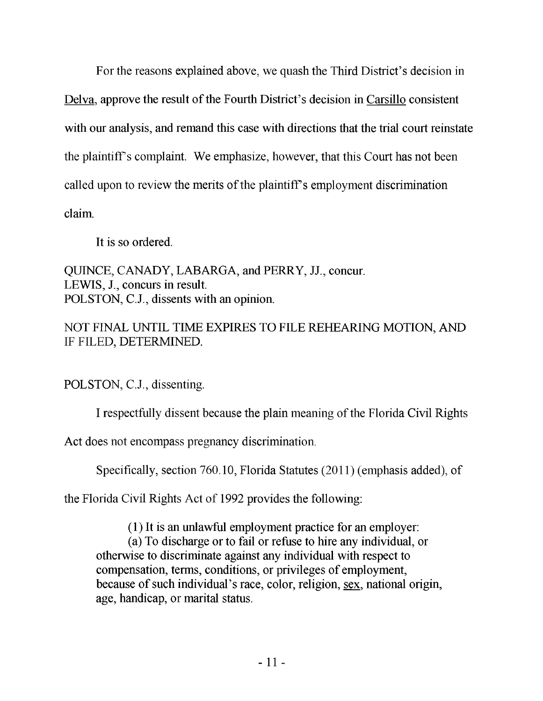For the reasons explained above, we quash the Third District's decision in Delva. approve the result of the Fourth District's decision in Carsillo consistent with our analysis, and remand this case with directions that the trial court reinstate the plaintiff's complaint. We emphasize, however, that this Court has not been called upon to review the merits of the plaintiff's employment discrimination claim.

It is so ordered.

QUINCE, CANADY, LABARGA, and PERRY, JJ., concur. LEWIS, J., concurs in result. POLSTON, C.J., dissents with an opinion.

NOT FINAL UNTIL TIME EXPIRES TO FILE REHEARING MOTION, AND IF FILED, DETERMINED.

POLSTON, C.J., dissenting.

I respectfully dissent because the plain meaning of the Florida Civil Rights

Act does not encompass pregnancy discrimination.

Specifically, section 760.10, Florida Statutes (2011) (emphasis added), of

the Florida Civil Rights Act of 1992 provides the following:

(1) It is an unlawful employment practice for an employer:

(a) To discharge or to fail or refuse to hire any individual, or otherwise to discriminate against any individual with respect to compensation, terms, conditions, or privileges of employment, because of such individual's race, color, religion, sex, national origin, age, handicap, or marital status.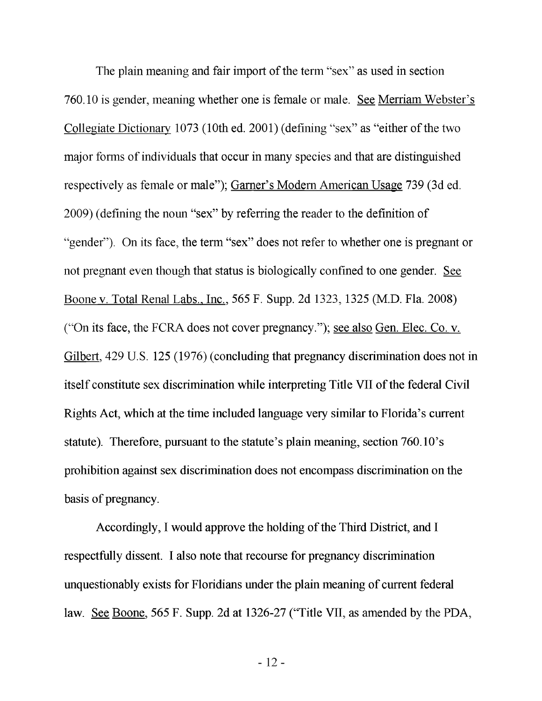The plain meaning and fair import of the term "sex" as used in section 760.10 is gender, meaning whether one is female or male. See Merriam Webster's Collegiate Dictionary 1073 (10th ed. 2001) (defining "sex" as "either of the two major forms of individuals that occur in many species and that are distinguished respectively as female or male"); Garner's Modem American Usage 739 (3d ed. 2009) (defining the noun "sex" by referring the reader to the definition of "gender"). On its face, the term "sex" does not refer to whether one is pregnant or not pregnant even though that status is biologically confined to one gender. See Boone v. Total Renal Labs.. Inc.. 565 F. Supp. 2d 1323,1325 (M.D. Fla. 2008) ("On its face, the FCRA does not cover pregnancy."); see also Gen. Elec. Co. v. Gilbert. 429 U.S. 125 (1976) (concluding that pregnancy discrimination does not in itself constitute sex discrimination while interpreting Title VII of the federal Civil Rights Act, which at the time included language very similar to Florida's current statute). Therefore, pursuant to the statute's plain meaning, section 760.10's prohibition against sex discrimination does not encompass discrimination on the basis of pregnancy.

Accordingly, I would approve the holding of the Third District, and I respectfully dissent. I also note that recourse for pregnancy discrimination unquestionably exists for Floridians under the plain meaning of current federal law. See Boone. 565 F. Supp. 2d at 1326-27 ('Title VII, as amended by the PDA,

- 12-